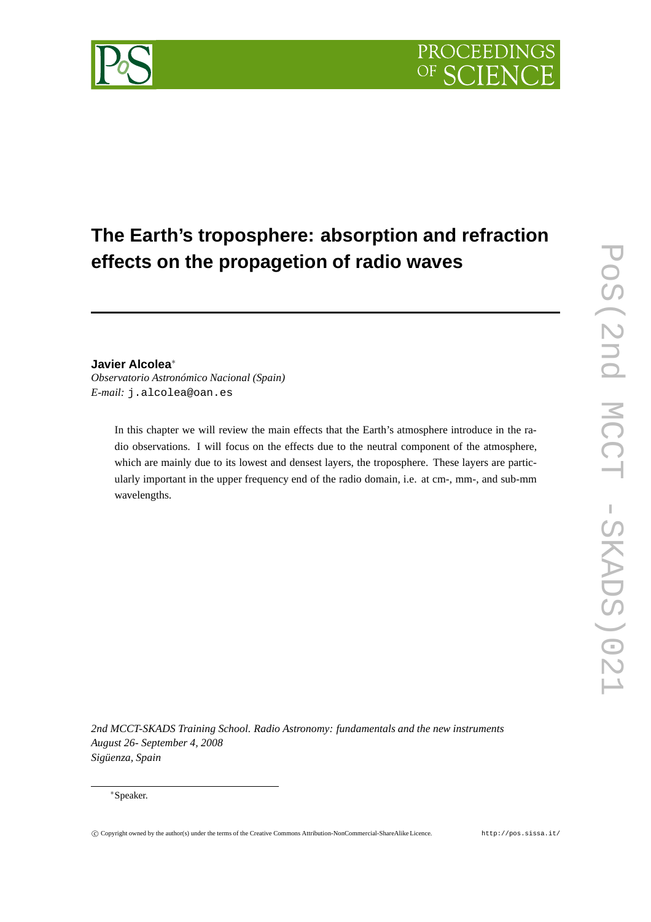

# **The Earth's troposphere: absorption and refraction effects on the propagetion of radio waves**

# **Javier Alcolea**∗

*Observatorio Astronómico Nacional (Spain) E-mail:* j.alcolea@oan.es

> In this chapter we will review the main effects that the Earth's atmosphere introduce in the radio observations. I will focus on the effects due to the neutral component of the atmosphere, which are mainly due to its lowest and densest layers, the troposphere. These layers are particularly important in the upper frequency end of the radio domain, i.e. at cm-, mm-, and sub-mm wavelengths.

*2nd MCCT-SKADS Training School. Radio Astronomy: fundamentals and the new instruments August 26- September 4, 2008 Sigüenza, Spain*

## ∗Speaker.

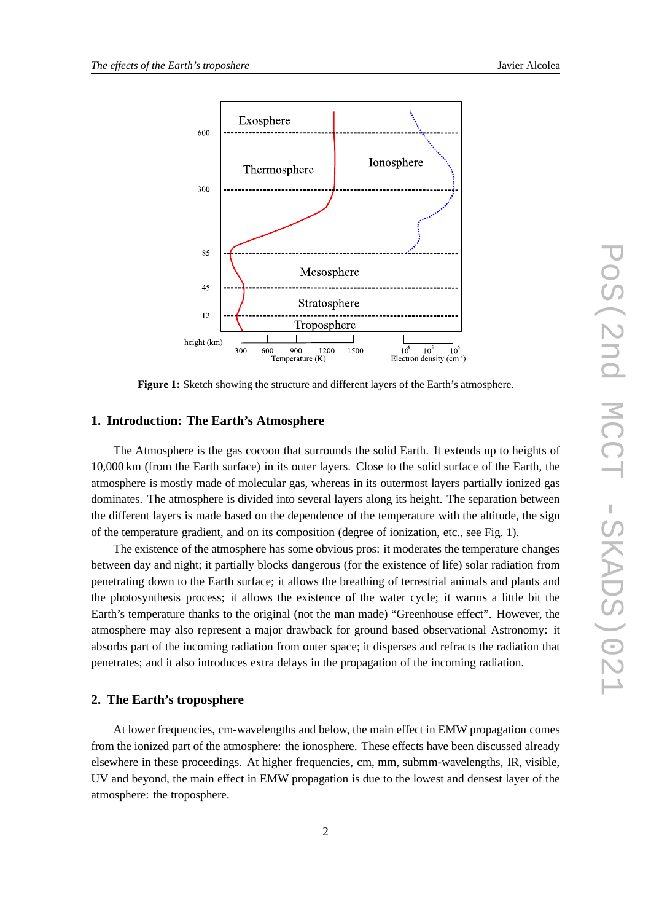



**Figure 1:** Sketch showing the structure and different layers of the Earth's atmosphere.

#### **1. Introduction: The Earth's Atmosphere**

The Atmosphere is the gas cocoon that surrounds the solid Earth. It extends up to heights of 10,000 km (from the Earth surface) in its outer layers. Close to the solid surface of the Earth, the atmosphere is mostly made of molecular gas, whereas in its outermost layers partially ionized gas dominates. The atmosphere is divided into several layers along its height. The separation between the different layers is made based on the dependence of the temperature with the altitude, the sign of the temperature gradient, and on its composition (degree of ionization, etc., see Fig. 1).

The existence of the atmosphere has some obvious pros: it moderates the temperature changes between day and night; it partially blocks dangerous (for the existence of life) solar radiation from penetrating down to the Earth surface; it allows the breathing of terrestrial animals and plants and the photosynthesis process; it allows the existence of the water cycle; it warms a little bit the Earth's temperature thanks to the original (not the man made) "Greenhouse effect". However, the atmosphere may also represent a major drawback for ground based observational Astronomy: it absorbs part of the incoming radiation from outer space; it disperses and refracts the radiation that penetrates; and it also introduces extra delays in the propagation of the incoming radiation.

# **2. The Earth's troposphere**

At lower frequencies, cm-wavelengths and below, the main effect in EMW propagation comes from the ionized part of the atmosphere: the ionosphere. These effects have been discussed already elsewhere in these proceedings. At higher frequencies, cm, mm, submm-wavelengths, IR, visible, UV and beyond, the main effect in EMW propagation is due to the lowest and densest layer of the atmosphere: the troposphere.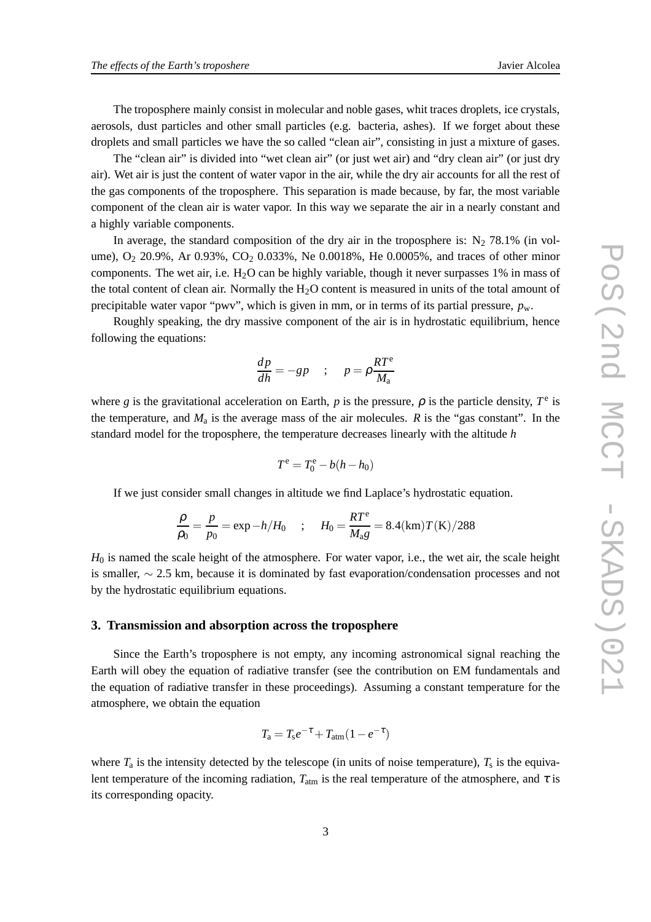The troposphere mainly consist in molecular and noble gases, whit traces droplets, ice crystals, aerosols, dust particles and other small particles (e.g. bacteria, ashes). If we forget about these droplets and small particles we have the so called "clean air", consisting in just a mixture of gases.

The "clean air" is divided into "wet clean air" (or just wet air) and "dry clean air" (or just dry air). Wet air is just the content of water vapor in the air, while the dry air accounts for all the rest of the gas components of the troposphere. This separation is made because, by far, the most variable component of the clean air is water vapor. In this way we separate the air in a nearly constant and a highly variable components.

In average, the standard composition of the dry air in the troposphere is:  $N_2$  78.1% (in volume),  $O_2$  20.9%, Ar 0.93%,  $CO_2$  0.033%, Ne 0.0018%, He 0.0005%, and traces of other minor components. The wet air, i.e.  $H_2O$  can be highly variable, though it never surpasses 1% in mass of the total content of clean air. Normally the  $H_2O$  content is measured in units of the total amount of precipitable water vapor "pwv", which is given in mm, or in terms of its partial pressure,  $p_w$ .

Roughly speaking, the dry massive component of the air is in hydrostatic equilibrium, hence following the equations:

$$
\frac{dp}{dh} = -gp \quad ; \quad p = \rho \frac{RT^e}{M_a}
$$

where *g* is the gravitational acceleration on Earth, *p* is the pressure,  $\rho$  is the particle density,  $T^e$  is the temperature, and  $M_a$  is the average mass of the air molecules.  $R$  is the "gas constant". In the standard model for the troposphere, the temperature decreases linearly with the altitude *h*

$$
T^{\rm e} = T_0^{\rm e} - b(h - h_0)
$$

If we just consider small changes in altitude we find Laplace's hydrostatic equation.

$$
\frac{\rho}{\rho_0} = \frac{p}{p_0} = \exp -h/H_0 \quad ; \quad H_0 = \frac{RT^e}{M_a g} = 8.4 \, (\text{km}) T(\text{K}) / 288
$$

*H*<sub>0</sub> is named the scale height of the atmosphere. For water vapor, i.e., the wet air, the scale height is smaller, ∼ 2.5 km, because it is dominated by fast evaporation/condensation processes and not by the hydrostatic equilibrium equations.

#### **3. Transmission and absorption across the troposphere**

Since the Earth's troposphere is not empty, any incoming astronomical signal reaching the Earth will obey the equation of radiative transfer (see the contribution on EM fundamentals and the equation of radiative transfer in these proceedings). Assuming a constant temperature for the atmosphere, we obtain the equation

$$
T_{\rm a} = T_{\rm s}e^{-\tau} + T_{\rm atm}(1 - e^{-\tau})
$$

where  $T_a$  is the intensity detected by the telescope (in units of noise temperature),  $T_s$  is the equivalent temperature of the incoming radiation,  $T_{\text{atm}}$  is the real temperature of the atmosphere, and  $\tau$  is its corresponding opacity.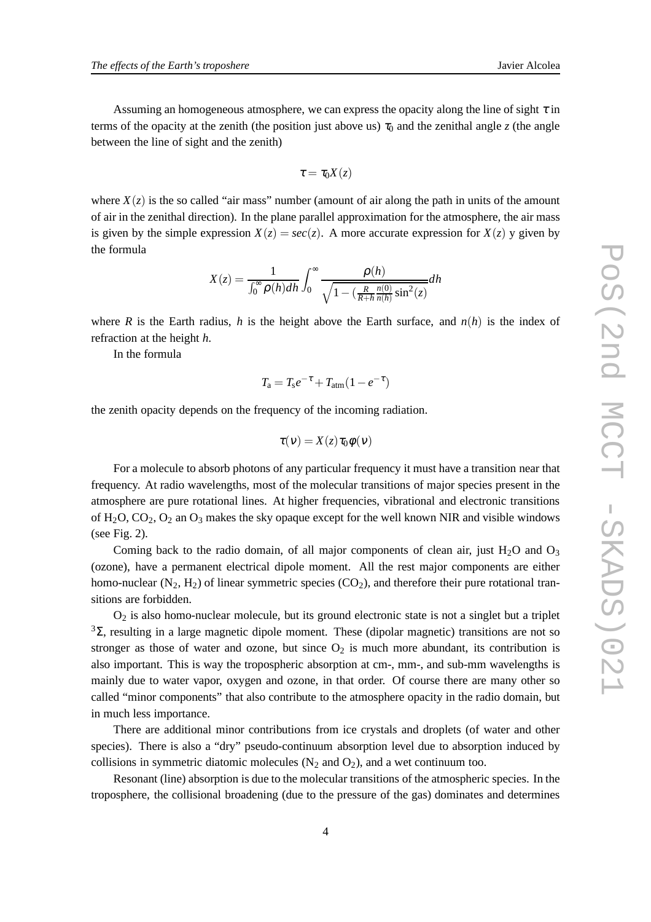Assuming an homogeneous atmosphere, we can express the opacity along the line of sight  $\tau$  in terms of the opacity at the zenith (the position just above us)  $\tau_0$  and the zenithal angle *z* (the angle between the line of sight and the zenith)

$$
\tau=\tau_0 X(z)
$$

where  $X(z)$  is the so called "air mass" number (amount of air along the path in units of the amount of air in the zenithal direction). In the plane parallel approximation for the atmosphere, the air mass is given by the simple expression  $X(z) = \sec(z)$ . A more accurate expression for  $X(z)$  y given by the formula

$$
X(z) = \frac{1}{\int_0^\infty \rho(h)dh} \int_0^\infty \frac{\rho(h)}{\sqrt{1 - \left(\frac{R}{R+h} \frac{n(0)}{n(h)} \sin^2(z)}\right)} dh
$$

where *R* is the Earth radius, *h* is the height above the Earth surface, and  $n(h)$  is the index of refraction at the height *h*.

In the formula

$$
T_{\rm a} = T_{\rm s}e^{-\tau} + T_{\rm atm}(1 - e^{-\tau})
$$

the zenith opacity depends on the frequency of the incoming radiation.

$$
\tau(v) = X(z)\tau_0\phi(v)
$$

For a molecule to absorb photons of any particular frequency it must have a transition near that frequency. At radio wavelengths, most of the molecular transitions of major species present in the atmosphere are pure rotational lines. At higher frequencies, vibrational and electronic transitions of  $H_2O$ ,  $CO_2$ ,  $O_2$  an  $O_3$  makes the sky opaque except for the well known NIR and visible windows (see Fig. 2).

Coming back to the radio domain, of all major components of clean air, just H<sub>2</sub>O and  $O_3$ (ozone), have a permanent electrical dipole moment. All the rest major components are either homo-nuclear  $(N_2, H_2)$  of linear symmetric species  $(CO_2)$ , and therefore their pure rotational transitions are forbidden.

 $O<sub>2</sub>$  is also homo-nuclear molecule, but its ground electronic state is not a singlet but a triplet  $3\Sigma$ , resulting in a large magnetic dipole moment. These (dipolar magnetic) transitions are not so stronger as those of water and ozone, but since  $O_2$  is much more abundant, its contribution is also important. This is way the tropospheric absorption at cm-, mm-, and sub-mm wavelengths is mainly due to water vapor, oxygen and ozone, in that order. Of course there are many other so called "minor components" that also contribute to the atmosphere opacity in the radio domain, but in much less importance.

There are additional minor contributions from ice crystals and droplets (of water and other species). There is also a "dry" pseudo-continuum absorption level due to absorption induced by collisions in symmetric diatomic molecules  $(N_2 \text{ and } O_2)$ , and a wet continuum too.

Resonant (line) absorption is due to the molecular transitions of the atmospheric species. In the troposphere, the collisional broadening (due to the pressure of the gas) dominates and determines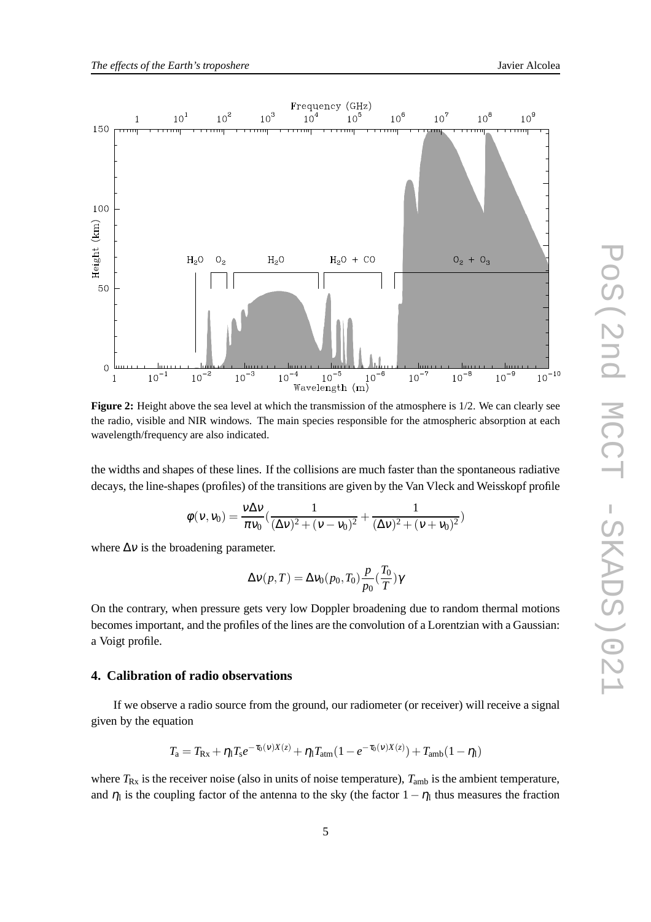

the radio, visible and NIR windows. The main species responsible for the atmospheric absorption at each wavelength/frequency are also indicated.

the widths and shapes of these lines. If the collisions are much faster than the spontaneous radiative decays, the line-shapes (profiles) of the transitions are given by the Van Vleck and Weisskopf profile

$$
\phi(v, v_0) = \frac{v\Delta v}{\pi v_0} \left( \frac{1}{(\Delta v)^2 + (v - v_0)^2} + \frac{1}{(\Delta v)^2 + (v + v_0)^2} \right)
$$

where  $\Delta v$  is the broadening parameter.

$$
\Delta v(p,T) = \Delta v_0(p_0,T_0) \frac{p}{p_0} (\frac{T_0}{T}) \gamma
$$

On the contrary, when pressure gets very low Doppler broadening due to random thermal motions becomes important, and the profiles of the lines are the convolution of a Lorentzian with a Gaussian: a Voigt profile.

### **4. Calibration of radio observations**

If we observe a radio source from the ground, our radiometer (or receiver) will receive a signal given by the equation

$$
T_{\rm a} = T_{\rm Rx} + \eta_1 T_{\rm s} e^{-\tau_0(\nu)X(z)} + \eta_1 T_{\rm atm}(1 - e^{-\tau_0(\nu)X(z)}) + T_{\rm amb}(1 - \eta_1)
$$

where  $T_{\text{Rx}}$  is the receiver noise (also in units of noise temperature),  $T_{\text{amb}}$  is the ambient temperature, and  $\eta_1$  is the coupling factor of the antenna to the sky (the factor  $1 - \eta_1$  thus measures the fraction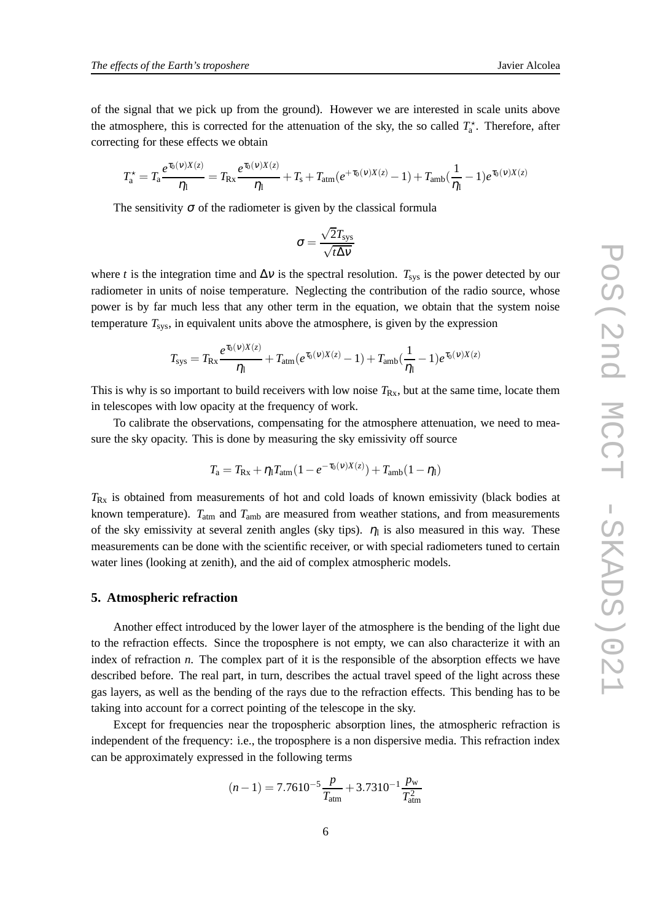of the signal that we pick up from the ground). However we are interested in scale units above the atmosphere, this is corrected for the attenuation of the sky, the so called  $T_a^*$ . Therefore, after correcting for these effects we obtain

$$
T_a^* = T_a \frac{e^{\tau_0(v)X(z)}}{\eta_1} = T_{\text{Rx}} \frac{e^{\tau_0(v)X(z)}}{\eta_1} + T_s + T_{\text{atm}} (e^{+\tau_0(v)X(z)} - 1) + T_{\text{amb}} (\frac{1}{\eta_1} - 1) e^{\tau_0(v)X(z)}
$$

The sensitivity  $\sigma$  of the radiometer is given by the classical formula

$$
\sigma = \frac{\sqrt{2} T_{sys}}{\sqrt{t \Delta \nu}}
$$

where *t* is the integration time and  $\Delta v$  is the spectral resolution.  $T_{sys}$  is the power detected by our radiometer in units of noise temperature. Neglecting the contribution of the radio source, whose power is by far much less that any other term in the equation, we obtain that the system noise temperature  $T_{\rm sys}$ , in equivalent units above the atmosphere, is given by the expression

$$
T_{\rm sys} = T_{\rm Rx} \frac{e^{\tau_0(v)X(z)}}{\eta_1} + T_{\rm atm}(e^{\tau_0(v)X(z)} - 1) + T_{\rm amb}(\frac{1}{\eta_1} - 1)e^{\tau_0(v)X(z)}
$$

This is why is so important to build receivers with low noise  $T_{Rx}$ , but at the same time, locate them in telescopes with low opacity at the frequency of work.

To calibrate the observations, compensating for the atmosphere attenuation, we need to measure the sky opacity. This is done by measuring the sky emissivity off source

$$
T_{\rm a} = T_{\rm Rx} + \eta_{\rm l} T_{\rm atm} (1 - e^{-\tau_0(\nu)X(z)}) + T_{\rm amb} (1 - \eta_{\rm l})
$$

*T*Rx is obtained from measurements of hot and cold loads of known emissivity (black bodies at known temperature).  $T_{\text{atm}}$  and  $T_{\text{amb}}$  are measured from weather stations, and from measurements of the sky emissivity at several zenith angles (sky tips).  $\eta_1$  is also measured in this way. These measurements can be done with the scientific receiver, or with special radiometers tuned to certain water lines (looking at zenith), and the aid of complex atmospheric models.

# **5. Atmospheric refraction**

Another effect introduced by the lower layer of the atmosphere is the bending of the light due to the refraction effects. Since the troposphere is not empty, we can also characterize it with an index of refraction *n*. The complex part of it is the responsible of the absorption effects we have described before. The real part, in turn, describes the actual travel speed of the light across these gas layers, as well as the bending of the rays due to the refraction effects. This bending has to be taking into account for a correct pointing of the telescope in the sky.

Except for frequencies near the tropospheric absorption lines, the atmospheric refraction is independent of the frequency: i.e., the troposphere is a non dispersive media. This refraction index can be approximately expressed in the following terms

$$
(n-1) = 7.7610^{-5} \frac{p}{T_{\text{atm}}} + 3.7310^{-1} \frac{p_{\text{w}}}{T_{\text{atm}}^2}
$$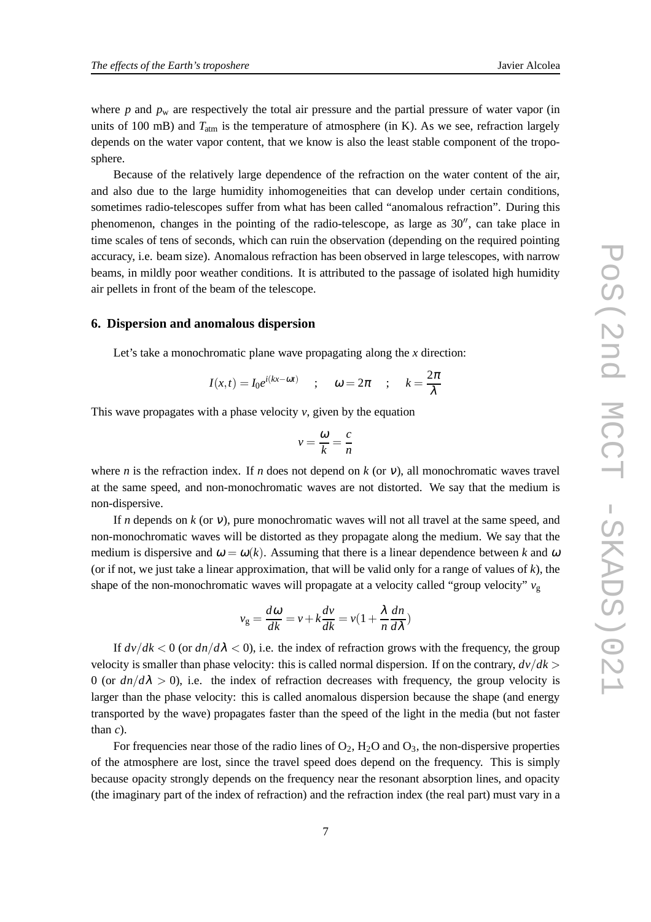where  $p$  and  $p_w$  are respectively the total air pressure and the partial pressure of water vapor (in units of 100 mB) and  $T_{\text{atm}}$  is the temperature of atmosphere (in K). As we see, refraction largely depends on the water vapor content, that we know is also the least stable component of the troposphere.

Because of the relatively large dependence of the refraction on the water content of the air, and also due to the large humidity inhomogeneities that can develop under certain conditions, sometimes radio-telescopes suffer from what has been called "anomalous refraction". During this phenomenon, changes in the pointing of the radio-telescope, as large as 30′′, can take place in time scales of tens of seconds, which can ruin the observation (depending on the required pointing accuracy, i.e. beam size). Anomalous refraction has been observed in large telescopes, with narrow beams, in mildly poor weather conditions. It is attributed to the passage of isolated high humidity air pellets in front of the beam of the telescope.

#### **6. Dispersion and anomalous dispersion**

Let's take a monochromatic plane wave propagating along the *x* direction:

$$
I(x,t) = I_0 e^{i(kx - \omega t)} \quad ; \quad \omega = 2\pi \quad ; \quad k = \frac{2\pi}{\lambda}
$$

This wave propagates with a phase velocity *v*, given by the equation

$$
v = \frac{\omega}{k} = \frac{c}{n}
$$

where *n* is the refraction index. If *n* does not depend on  $k$  (or  $v$ ), all monochromatic waves travel at the same speed, and non-monochromatic waves are not distorted. We say that the medium is non-dispersive.

If *n* depends on *k* (or <sup>ν</sup>), pure monochromatic waves will not all travel at the same speed, and non-monochromatic waves will be distorted as they propagate along the medium. We say that the medium is dispersive and  $\omega = \omega(k)$ . Assuming that there is a linear dependence between k and  $\omega$ (or if not, we just take a linear approximation, that will be valid only for a range of values of  $k$ ), the shape of the non-monochromatic waves will propagate at a velocity called "group velocity"  $v_g$ 

$$
v_{\rm g} = \frac{d\omega}{dk} = v + k\frac{dv}{dk} = v\left(1 + \frac{\lambda}{n}\frac{dn}{d\lambda}\right)
$$

If  $\frac{dv}{dk} < 0$  (or  $\frac{dn}{d\lambda} < 0$ ), i.e. the index of refraction grows with the frequency, the group velocity is smaller than phase velocity: this is called normal dispersion. If on the contrary,  $dv/dk$ 0 (or  $dn/d\lambda > 0$ ), i.e. the index of refraction decreases with frequency, the group velocity is larger than the phase velocity: this is called anomalous dispersion because the shape (and energy transported by the wave) propagates faster than the speed of the light in the media (but not faster than *c*).

For frequencies near those of the radio lines of  $O_2$ ,  $H_2O$  and  $O_3$ , the non-dispersive properties of the atmosphere are lost, since the travel speed does depend on the frequency. This is simply because opacity strongly depends on the frequency near the resonant absorption lines, and opacity (the imaginary part of the index of refraction) and the refraction index (the real part) must vary in a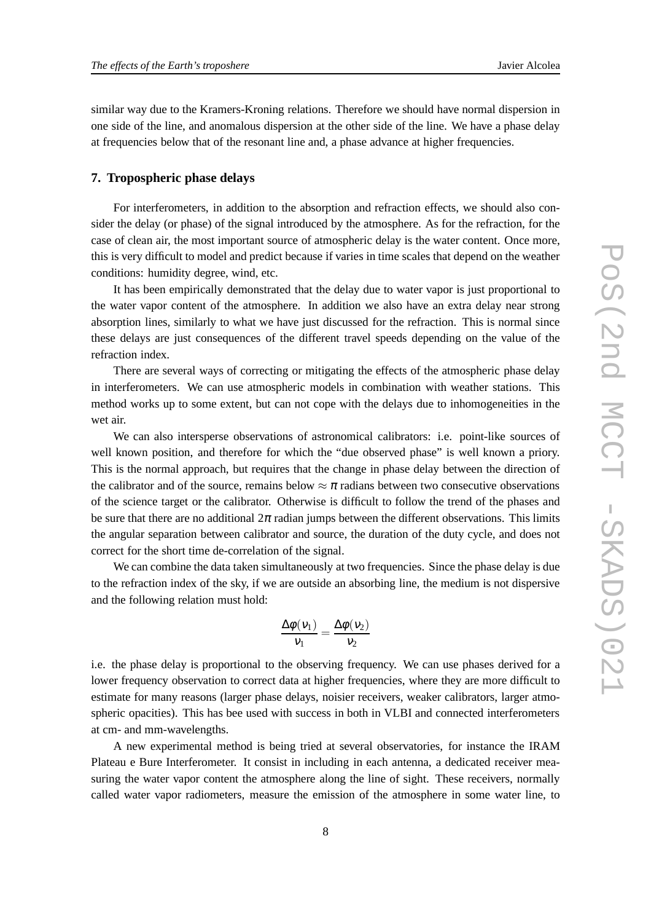similar way due to the Kramers-Kroning relations. Therefore we should have normal dispersion in one side of the line, and anomalous dispersion at the other side of the line. We have a phase delay at frequencies below that of the resonant line and, a phase advance at higher frequencies.

## **7. Tropospheric phase delays**

For interferometers, in addition to the absorption and refraction effects, we should also consider the delay (or phase) of the signal introduced by the atmosphere. As for the refraction, for the case of clean air, the most important source of atmospheric delay is the water content. Once more, this is very difficult to model and predict because if varies in time scales that depend on the weather conditions: humidity degree, wind, etc.

It has been empirically demonstrated that the delay due to water vapor is just proportional to the water vapor content of the atmosphere. In addition we also have an extra delay near strong absorption lines, similarly to what we have just discussed for the refraction. This is normal since these delays are just consequences of the different travel speeds depending on the value of the refraction index.

There are several ways of correcting or mitigating the effects of the atmospheric phase delay in interferometers. We can use atmospheric models in combination with weather stations. This method works up to some extent, but can not cope with the delays due to inhomogeneities in the wet air.

We can also intersperse observations of astronomical calibrators: i.e. point-like sources of well known position, and therefore for which the "due observed phase" is well known a priory. This is the normal approach, but requires that the change in phase delay between the direction of the calibrator and of the source, remains below  $\approx \pi$  radians between two consecutive observations of the science target or the calibrator. Otherwise is difficult to follow the trend of the phases and be sure that there are no additional  $2\pi$  radian jumps between the different observations. This limits the angular separation between calibrator and source, the duration of the duty cycle, and does not correct for the short time de-correlation of the signal.

We can combine the data taken simultaneously at two frequencies. Since the phase delay is due to the refraction index of the sky, if we are outside an absorbing line, the medium is not dispersive and the following relation must hold:

$$
\frac{\Delta \phi(v_1)}{v_1} = \frac{\Delta \phi(v_2)}{v_2}
$$

i.e. the phase delay is proportional to the observing frequency. We can use phases derived for a lower frequency observation to correct data at higher frequencies, where they are more difficult to estimate for many reasons (larger phase delays, noisier receivers, weaker calibrators, larger atmospheric opacities). This has bee used with success in both in VLBI and connected interferometers at cm- and mm-wavelengths.

A new experimental method is being tried at several observatories, for instance the IRAM Plateau e Bure Interferometer. It consist in including in each antenna, a dedicated receiver measuring the water vapor content the atmosphere along the line of sight. These receivers, normally called water vapor radiometers, measure the emission of the atmosphere in some water line, to